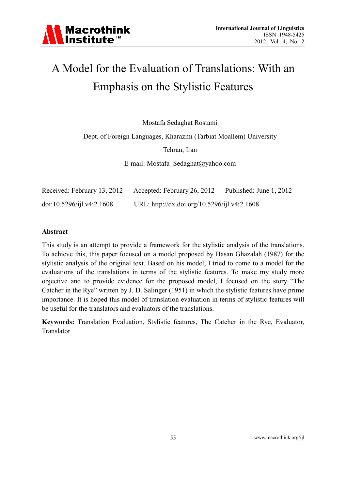### A Model for the Evaluation of Translations: With an Emphasis on the Stylistic Features

Mostafa Sedaghat Rostami

Dept. of Foreign Languages, Kharazmi (Tarbiat Moallem) University

Tehran, Iran

E-mail: Mostafa\_Sedaghat@yahoo.com

| Received: February 13, 2012 | Accepted: February 26, 2012                  | Published: June 1, 2012 |
|-----------------------------|----------------------------------------------|-------------------------|
| doi:10.5296/ijkl.v4i2.1608  | URL: http://dx.doi.org/10.5296/ijl.v4i2.1608 |                         |

### **Abstract**

This study is an attempt to provide a framework for the stylistic analysis of the translations. To achieve this, this paper focused on a model proposed by Hasan Ghazalah (1987) for the stylistic analysis of the original text. Based on his model, I tried to come to a model for the evaluations of the translations in terms of the stylistic features. To make my study more objective and to provide evidence for the proposed model, I focused on the story "The Catcher in the Rye" written by J. D. Salinger (1951) in which the stylistic features have prime importance. It is hoped this model of translation evaluation in terms of stylistic features will be useful for the translators and evaluators of the translations.

**Keywords:** Translation Evaluation, Stylistic features, The Catcher in the Rye, Evaluator, Translator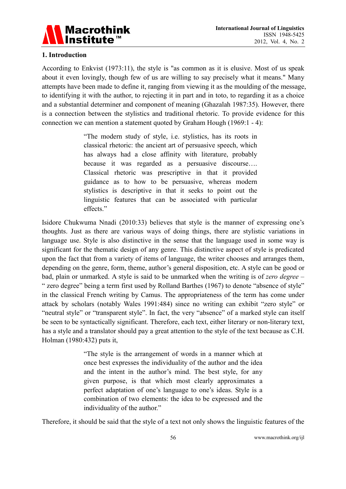

### **1. Introduction**

According to Enkvist (1973:11), the style is "as common as it is elusive. Most of us speak about it even lovingly, though few of us are willing to say precisely what it means." Many attempts have been made to define it, ranging from viewing it as the moulding of the message, to identifying it with the author, to rejecting it in part and in toto, to regarding it as a choice and a substantial determiner and component of meaning (Ghazalah 1987:35). However, there is a connection between the stylistics and traditional rhetoric. To provide evidence for this connection we can mention a statement quoted by Graham Hough (1969:1 - 4):

> "The modern study of style, i.e. stylistics, has its roots in classical rhetoric: the ancient art of persuasive speech, which has always had a close affinity with literature, probably because it was regarded as a persuasive discourse…. Classical rhetoric was prescriptive in that it provided guidance as to how to be persuasive, whereas modern stylistics is descriptive in that it seeks to point out the linguistic features that can be associated with particular effects."

Isidore Chukwuma Nnadi (2010:33) believes that style is the manner of expressing one's thoughts. Just as there are various ways of doing things, there are stylistic variations in language use. Style is also distinctive in the sense that the language used in some way is significant for the thematic design of any genre. This distinctive aspect of style is predicated upon the fact that from a variety of items of language, the writer chooses and arranges them, depending on the genre, form, theme, author's general disposition, etc. A style can be good or bad, plain or unmarked. A style is said to be unmarked when the writing is of *zero degree* – " zero degree" being a term first used by Rolland Barthes (1967) to denote "absence of style" in the classical French writing by Camus. The appropriateness of the term has come under attack by scholars (notably Wales 1991:484) since no writing can exhibit "zero style" or "neutral style" or "transparent style". In fact, the very "absence" of a marked style can itself be seen to be syntactically significant. Therefore, each text, either literary or non-literary text, has a style and a translator should pay a great attention to the style of the text because as C.H. Holman (1980:432) puts it,

> "The style is the arrangement of words in a manner which at once best expresses the individuality of the author and the idea and the intent in the author's mind. The best style, for any given purpose, is that which most clearly approximates a perfect adaptation of one's language to one's ideas. Style is a combination of two elements: the idea to be expressed and the individuality of the author."

Therefore, it should be said that the style of a text not only shows the linguistic features of the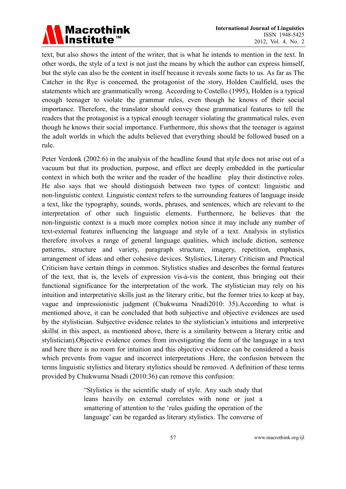### **Macrothink** Institute<sup>™</sup>

text, but also shows the intent of the writer, that is what he intends to mention in the text. In other words, the style of a text is not just the means by which the author can express himself, but the style can also be the content in itself because it reveals some facts to us. As far as The Catcher in the Rye is concerned, the protagonist of the story, Holden Caulfield, uses the statements which are grammatically wrong. According to Costello (1995), Holden is a typical enough teenager to violate the grammar rules, even though he knows of their social importance. Therefore, the translator should convey these grammatical features to tell the readers that the protagonist is a typical enough teenager violating the grammatical rules, even though he knows their social importance. Furthermore, this shows that the teenager is against the adult worlds in which the adults believed that everything should be followed based on a rule.

Peter Verdonk (2002:6) in the analysis of the headline found that style does not arise out of a vacuum but that its production, purpose, and effect are deeply embedded in the particular context in which both the writer and the reader of the headline play their distinctive roles. He also says that we should distinguish between two types of context: linguistic and non-linguistic context. Linguistic context refers to the surrounding features of language inside a text, like the typography, sounds, words, phrases, and sentences, which are relevant to the interpretation of other such linguistic elements. Furthermore, he believes that the non-linguistic context is a much more complex notion since it may include any number of text-external features influencing the language and style of a text. Analysis in stylistics therefore involves a range of general language qualities, which include diction, sentence patterns, structure and variety, paragraph structure, imagery, repetition, emphasis, arrangement of ideas and other cohesive devices. Stylistics, Literary Criticism and Practical Criticism have certain things in common. Stylistics studies and describes the formal features of the text, that is, the levels of expression vis-à-vis the content, thus bringing out their functional significance for the interpretation of the work. The stylistician may rely on his intuition and interpretative skills just as the literary critic, but the former tries to keep at bay, vague and impressionistic judgment (Chukwuma Nnadi2010: 35).According to what is mentioned above, it can be concluded that both subjective and objective evidences are used by the stylistician. Subjective evidence relates to the stylistician's intuitions and interpretive skills( in this aspect, as mentioned above, there is a similarity between a literary critic and stylistician).Objective evidence comes from investigating the form of the language in a text and here there is no room for intuition and this objective evidence can be considered a basis which prevents from vague and incorrect interpretations .Here, the confusion between the terms linguistic stylistics and literary stylistics should be removed. A definition of these terms provided by Chukwuma Nnadi (2010:36) can remove this confusion:

> "Stylistics is the scientific study of style. Any such study that leans heavily on external correlates with none or just a smattering of attention to the 'rules guiding the operation of the language' can be regarded as literary stylistics. The converse of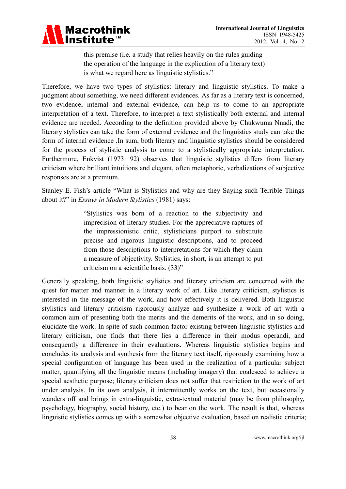

this premise (i.e. a study that relies heavily on the rules guiding the operation of the language in the explication of a literary text) is what we regard here as linguistic stylistics."

Therefore, we have two types of stylistics: literary and linguistic stylistics. To make a judgment about something, we need different evidences. As far as a literary text is concerned, two evidence, internal and external evidence, can help us to come to an appropriate interpretation of a text. Therefore, to interpret a text stylistically both external and internal evidence are needed. According to the definition provided above by Chukwuma Nnadi, the literary stylistics can take the form of external evidence and the linguistics study can take the form of internal evidence .In sum, both literary and linguistic stylistics should be considered for the process of stylistic analysis to come to a stylistically appropriate interpretation. Furthermore, Enkvist (1973: 92) observes that linguistic stylistics differs from literary criticism where brilliant intuitions and elegant, often metaphoric, verbalizations of subjective responses are at a premium.

Stanley E. Fish's article "What is Stylistics and why are they Saying such Terrible Things about it?" in *Essays in Modern Stylistics* (1981) says:

> "Stylistics was born of a reaction to the subjectivity and imprecision of literary studies. For the appreciative raptures of the impressionistic critic, stylisticians purport to substitute precise and rigorous linguistic descriptions, and to proceed from those descriptions to interpretations for which they claim a measure of objectivity. Stylistics, in short, is an attempt to put criticism on a scientific basis. (33)"

Generally speaking, both linguistic stylistics and literary criticism are concerned with the quest for matter and manner in a literary work of art. Like literary criticism, stylistics is interested in the message of the work, and how effectively it is delivered. Both linguistic stylistics and literary criticism rigorously analyze and synthesize a work of art with a common aim of presenting both the merits and the demerits of the work, and in so doing, elucidate the work. In spite of such common factor existing between linguistic stylistics and literary criticism, one finds that there lies a difference in their modus operandi, and consequently a difference in their evaluations. Whereas linguistic stylistics begins and concludes its analysis and synthesis from the literary text itself, rigorously examining how a special configuration of language has been used in the realization of a particular subject matter, quantifying all the linguistic means (including imagery) that coalesced to achieve a special aesthetic purpose; literary criticism does not suffer that restriction to the work of art under analysis. In its own analysis, it intermittently works on the text, but occasionally wanders off and brings in extra-linguistic, extra-textual material (may be from philosophy, psychology, biography, social history, etc.) to bear on the work. The result is that, whereas linguistic stylistics comes up with a somewhat objective evaluation, based on realistic criteria;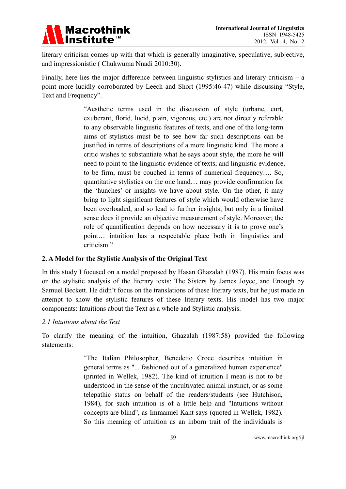

literary criticism comes up with that which is generally imaginative, speculative, subjective, and impressionistic ( Chukwuma Nnadi 2010:30).

Finally, here lies the major difference between linguistic stylistics and literary criticism  $- a$ point more lucidly corroborated by Leech and Short (1995:46-47) while discussing "Style, Text and Frequency".

> "Aesthetic terms used in the discussion of style (urbane, curt, exuberant, florid, lucid, plain, vigorous, etc.) are not directly referable to any observable linguistic features of texts, and one of the long-term aims of stylistics must be to see how far such descriptions can be justified in terms of descriptions of a more linguistic kind. The more a critic wishes to substantiate what he says about style, the more he will need to point to the linguistic evidence of texts; and linguistic evidence, to be firm, must be couched in terms of numerical frequency…. So, quantitative stylistics on the one hand… may provide confirmation for the 'hunches' or insights we have about style. On the other, it may bring to light significant features of style which would otherwise have been overloaded, and so lead to further insights; but only in a limited sense does it provide an objective measurement of style. Moreover, the role of quantification depends on how necessary it is to prove one's point… intuition has a respectable place both in linguistics and criticism "

### **2. A Model for the Stylistic Analysis of the Original Text**

In this study I focused on a model proposed by Hasan Ghazalah (1987). His main focus was on the stylistic analysis of the literary texts: The Sisters by James Joyce, and Enough by Samuel Beckett. He didn't focus on the translations of these literary texts, but he just made an attempt to show the stylistic features of these literary texts. His model has two major components: Intuitions about the Text as a whole and Stylistic analysis.

### *2.1 Intuitions about the Text*

To clarify the meaning of the intuition, Ghazalah (1987:58) provided the following statements:

> "The Italian Philosopher, Benedetto Croce describes intuition in general terms as "... fashioned out of a generalized human experience" (printed in Wellek, 1982). The kind of intuition I mean is not to be understood in the sense of the uncultivated animal instinct, or as some telepathic status on behalf of the readers/students (see Hutchison, 1984), for such intuition is of a little help and "Intuitions without concepts are blind", as Immanuel Kant says (quoted in Wellek, 1982). So this meaning of intuition as an inborn trait of the individuals is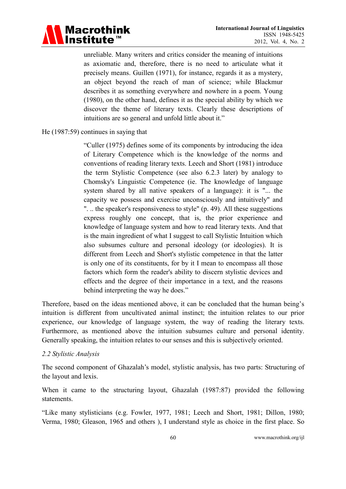

unreliable. Many writers and critics consider the meaning of intuitions as axiomatic and, therefore, there is no need to articulate what it precisely means. Guillen (1971), for instance, regards it as a mystery, an object beyond the reach of man of science; while Blackmur describes it as something everywhere and nowhere in a poem. Young (1980), on the other hand, defines it as the special ability by which we discover the theme of literary texts. Clearly these descriptions of intuitions are so general and unfold little about it."

### He (1987:59) continues in saying that

"Culler (1975) defines some of its components by introducing the idea of Literary Competence which is the knowledge of the norms and conventions of reading literary texts. Leech and Short (1981) introduce the term Stylistic Competence (see also 6.2.3 later) by analogy to Chomsky's Linguistic Competence (ie. The knowledge of language system shared by all native speakers of a language): it is "... the capacity we possess and exercise unconsciously and intuitively" and ". .. the speaker's responsiveness to style" (p. 49). All these suggestions express roughly one concept, that is, the prior experience and knowledge of language system and how to read literary texts. And that is the main ingredient of what I suggest to call Stylistic Intuition which also subsumes culture and personal ideology (or ideologies). It is different from Leech and Short's stylistic competence in that the latter is only one of its constituents, for by it I mean to encompass all those factors which form the reader's ability to discern stylistic devices and effects and the degree of their importance in a text, and the reasons behind interpreting the way he does."

Therefore, based on the ideas mentioned above, it can be concluded that the human being's intuition is different from uncultivated animal instinct; the intuition relates to our prior experience, our knowledge of language system, the way of reading the literary texts. Furthermore, as mentioned above the intuition subsumes culture and personal identity. Generally speaking, the intuition relates to our senses and this is subjectively oriented.

### *2.2 Stylistic Analysis*

The second component of Ghazalah's model, stylistic analysis, has two parts: Structuring of the layout and lexis.

When it came to the structuring layout, Ghazalah (1987:87) provided the following statements.

"Like many stylisticians (e.g. Fowler, 1977, 1981; Leech and Short, 1981; Dillon, 1980; Verma, 1980; Gleason, 1965 and others ), I understand style as choice in the first place. So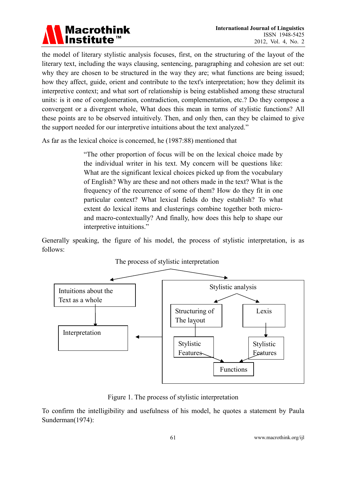

the model of literary stylistic analysis focuses, first, on the structuring of the layout of the literary text, including the ways clausing, sentencing, paragraphing and cohesion are set out: why they are chosen to be structured in the way they are; what functions are being issued; how they affect, guide, orient and contribute to the text's interpretation; how they delimit its interpretive context; and what sort of relationship is being established among these structural units: is it one of conglomeration, contradiction, complementation, etc.? Do they compose a convergent or a divergent whole, What does this mean in terms of stylistic functions? All these points are to be observed intuitively. Then, and only then, can they be claimed to give the support needed for our interpretive intuitions about the text analyzed."

As far as the lexical choice is concerned, he (1987:88) mentioned that

"The other proportion of focus will be on the lexical choice made by the individual writer in his text. My concern will be questions like: What are the significant lexical choices picked up from the vocabulary of English? Why are these and not others made in the text? What is the frequency of the recurrence of some of them? How do they fit in one particular context? What lexical fields do they establish? To what extent do lexical items and clusterings combine together both microand macro-contextually? And finally, how does this help to shape our interpretive intuitions."

Generally speaking, the figure of his model, the process of stylistic interpretation, is as follows:



The process of stylistic interpretation

Figure 1. The process of stylistic interpretation

To confirm the intelligibility and usefulness of his model, he quotes a statement by Paula Sunderman(1974):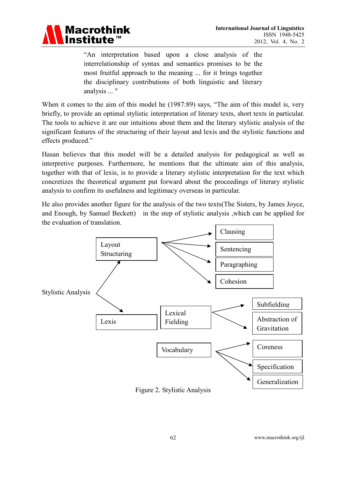

"An interpretation based upon a close analysis of the interrelationship of syntax and semantics promises to be the most fruitful approach to the meaning ... for it brings together the disciplinary contributions of both linguistic and literary analysis ... "

When it comes to the aim of this model he (1987:89) says, "The aim of this model is, very briefly, to provide an optimal stylistic interpretation of literary texts, short texts in particular. The tools to achieve it are our intuitions about them and the literary stylistic analysis of the significant features of the structuring of their layout and lexis and the stylistic functions and effects produced."

Hasan believes that this model will be a detailed analysis for pedagogical as well as interpretive purposes. Furthermore, he mentions that the ultimate aim of this analysis, together with that of lexis, is to provide a literary stylistic interpretation for the text which concretizes the theoretical argument put forward about the proceedings of literary stylistic analysis to confirm its usefulness and legitimacy overseas in particular.

He also provides another figure for the analysis of the two texts(The Sisters, by James Joyce, and Enough, by Samuel Beckett) in the step of stylistic analysis ,which can be applied for the evaluation of translation.



Figure 2. Stylistic Analysis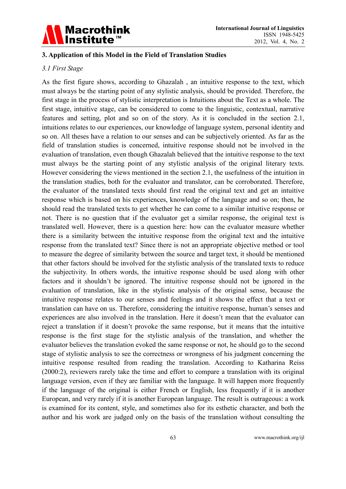

### **3. Application of this Model in the Field of Translation Studies**

### *3.1 First Stage*

As the first figure shows, according to Ghazalah , an intuitive response to the text, which must always be the starting point of any stylistic analysis, should be provided. Therefore, the first stage in the process of stylistic interpretation is Intuitions about the Text as a whole. The first stage, intuitive stage, can be considered to come to the linguistic, contextual, narrative features and setting, plot and so on of the story. As it is concluded in the section 2.1, intuitions relates to our experiences, our knowledge of language system, personal identity and so on. All theses have a relation to our senses and can be subjectively oriented. As far as the field of translation studies is concerned, intuitive response should not be involved in the evaluation of translation, even though Ghazalah believed that the intuitive response to the text must always be the starting point of any stylistic analysis of the original literary texts. However considering the views mentioned in the section 2.1, the usefulness of the intuition in the translation studies, both for the evaluator and translator, can be corroborated. Therefore, the evaluator of the translated texts should first read the original text and get an intuitive response which is based on his experiences, knowledge of the language and so on; then, he should read the translated texts to get whether he can come to a similar intuitive response or not. There is no question that if the evaluator get a similar response, the original text is translated well. However, there is a question here: how can the evaluator measure whether there is a similarity between the intuitive response from the original text and the intuitive response from the translated text? Since there is not an appropriate objective method or tool to measure the degree of similarity between the source and target text, it should be mentioned that other factors should be involved for the stylistic analysis of the translated texts to reduce the subjectivity. In others words, the intuitive response should be used along with other factors and it shouldn't be ignored. The intuitive response should not be ignored in the evaluation of translation, like in the stylistic analysis of the original sense, because the intuitive response relates to our senses and feelings and it shows the effect that a text or translation can have on us. Therefore, considering the intuitive response, human's senses and experiences are also involved in the translation. Here it doesn't mean that the evaluator can reject a translation if it doesn't provoke the same response, but it means that the intuitive response is the first stage for the stylistic analysis of the translation, and whether the evaluator believes the translation evoked the same response or not, he should go to the second stage of stylistic analysis to see the correctness or wrongness of his judgment concerning the intuitive response resulted from reading the translation. According to Katharina Reiss (2000:2), reviewers rarely take the time and effort to compare a translation with its original language version, even if they are familiar with the language. It will happen more frequently if the language of the original is either French or English, less frequently if it is another European, and very rarely if it is another European language. The result is outrageous: a work is examined for its content, style, and sometimes also for its esthetic character, and both the author and his work are judged only on the basis of the translation without consulting the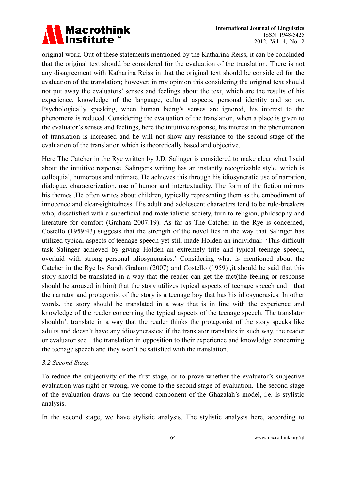

original work. Out of these statements mentioned by the Katharina Reiss, it can be concluded that the original text should be considered for the evaluation of the translation. There is not any disagreement with Katharina Reiss in that the original text should be considered for the evaluation of the translation; however, in my opinion this considering the original text should not put away the evaluators' senses and feelings about the text, which are the results of his experience, knowledge of the language, cultural aspects, personal identity and so on. Psychologically speaking, when human being's senses are ignored, his interest to the phenomena is reduced. Considering the evaluation of the translation, when a place is given to the evaluator's senses and feelings, here the intuitive response, his interest in the phenomenon of translation is increased and he will not show any resistance to the second stage of the evaluation of the translation which is theoretically based and objective.

Here The Catcher in the Rye written by J.D. Salinger is considered to make clear what I said about the intuitive response. Salinger's writing has an instantly recognizable style, which is colloquial, humorous and intimate. He achieves this through his idiosyncratic use of narration, dialogue, characterization, use of humor and intertextuality. The form of the fiction mirrors his themes .He often writes about children, typically representing them as the embodiment of innocence and clear-sightedness. His adult and adolescent characters tend to be rule-breakers who, dissatisfied with a superficial and materialistic society, turn to religion, philosophy and literature for comfort (Graham 2007:19). As far as The Catcher in the Rye is concerned, Costello (1959:43) suggests that the strength of the novel lies in the way that Salinger has utilized typical aspects of teenage speech yet still made Holden an individual: 'This difficult task Salinger achieved by giving Holden an extremely trite and typical teenage speech, overlaid with strong personal idiosyncrasies.' Considering what is mentioned about the Catcher in the Rye by Sarah Graham (2007) and Costello (1959) *,*it should be said that this story should be translated in a way that the reader can get the fact(the feeling or response should be aroused in him) that the story utilizes typical aspects of teenage speech and that the narrator and protagonist of the story is a teenage boy that has his idiosyncrasies. In other words, the story should be translated in a way that is in line with the experience and knowledge of the reader concerning the typical aspects of the teenage speech. The translator shouldn't translate in a way that the reader thinks the protagonist of the story speaks like adults and doesn't have any idiosyncrasies; if the translator translates in such way, the reader or evaluator see the translation in opposition to their experience and knowledge concerning the teenage speech and they won't be satisfied with the translation.

### *3.2 Second Stage*

To reduce the subjectivity of the first stage, or to prove whether the evaluator's subjective evaluation was right or wrong, we come to the second stage of evaluation. The second stage of the evaluation draws on the second component of the Ghazalah's model, i.e. is stylistic analysis.

In the second stage, we have stylistic analysis. The stylistic analysis here, according to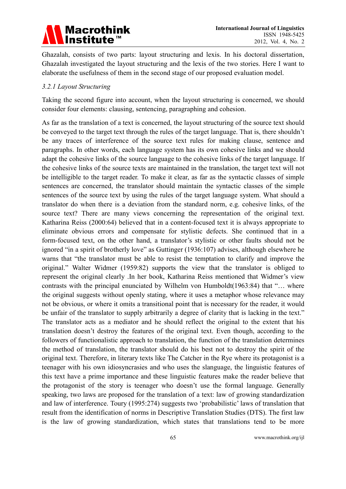

Ghazalah, consists of two parts: layout structuring and lexis. In his doctoral dissertation, Ghazalah investigated the layout structuring and the lexis of the two stories. Here I want to elaborate the usefulness of them in the second stage of our proposed evaluation model.

### *3.2.1 Layout Structuring*

Taking the second figure into account, when the layout structuring is concerned, we should consider four elements: clausing, sentencing, paragraphing and cohesion.

As far as the translation of a text is concerned, the layout structuring of the source text should be conveyed to the target text through the rules of the target language. That is, there shouldn't be any traces of interference of the source text rules for making clause, sentence and paragraphs. In other words, each language system has its own cohesive links and we should adapt the cohesive links of the source language to the cohesive links of the target language. If the cohesive links of the source texts are maintained in the translation, the target text will not be intelligible to the target reader. To make it clear, as far as the syntactic classes of simple sentences are concerned, the translator should maintain the syntactic classes of the simple sentences of the source text by using the rules of the target language system. What should a translator do when there is a deviation from the standard norm, e.g. cohesive links, of the source text? There are many views concerning the representation of the original text. Katharina Reiss (2000:64) believed that in a content-focused text it is always appropriate to eliminate obvious errors and compensate for stylistic defects. She continued that in a form-focused text, on the other hand, a translator's stylistic or other faults should not be ignored "in a spirit of brotherly love" as Guttinger (1936:107) advises, although elsewhere he warns that "the translator must be able to resist the temptation to clarify and improve the original." Walter Widmer (1959:82) supports the view that the translator is obliged to represent the original clearly .In her book, Katharina Reiss mentioned that Widmer's view contrasts with the principal enunciated by Wilhelm von Humboldt(1963:84) that "… where the original suggests without openly stating, where it uses a metaphor whose relevance may not be obvious, or where it omits a transitional point that is necessary for the reader, it would be unfair of the translator to supply arbitrarily a degree of clarity that is lacking in the text." The translator acts as a mediator and he should reflect the original to the extent that his translation doesn't destroy the features of the original text. Even though, according to the followers of functionalistic approach to translation, the function of the translation determines the method of translation, the translator should do his best not to destroy the spirit of the original text. Therefore, in literary texts like The Catcher in the Rye where its protagonist is a teenager with his own idiosyncrasies and who uses the slanguage, the linguistic features of this text have a prime importance and these linguistic features make the reader believe that the protagonist of the story is teenager who doesn't use the formal language. Generally speaking, two laws are proposed for the translation of a text: law of growing standardization and law of interference. Toury (1995:274) suggests two 'probabilistic' laws of translation that result from the identification of norms in Descriptive Translation Studies (DTS). The first law is the law of growing standardization, which states that translations tend to be more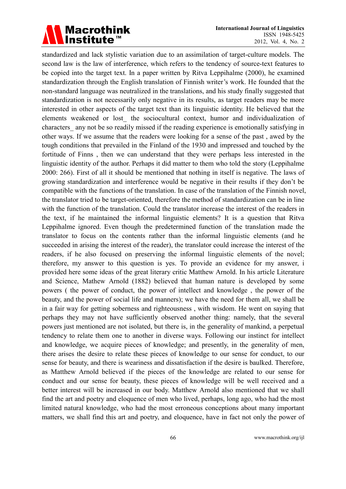# Macrothink<br>|Institute™

standardized and lack stylistic variation due to an assimilation of target-culture models. The second law is the law of interference, which refers to the tendency of source-text features to be copied into the target text. In a paper written by Ritva Leppihalme (2000), he examined standardization through the English translation of Finnish writer's work. He founded that the non-standard language was neutralized in the translations, and his study finally suggested that standardization is not necessarily only negative in its results, as target readers may be more interested in other aspects of the target text than its linguistic identity. He believed that the elements weakened or lost\_ the sociocultural context, humor and individualization of characters any not be so readily missed if the reading experience is emotionally satisfying in other ways. If we assume that the readers were looking for a sense of the past , awed by the tough conditions that prevailed in the Finland of the 1930 and impressed and touched by the fortitude of Finns , then we can understand that they were perhaps less interested in the linguistic identity of the author. Perhaps it did matter to them who told the story (Leppihalme 2000: 266). First of all it should be mentioned that nothing in itself is negative. The laws of growing standardization and interference would be negative in their results if they don't be compatible with the functions of the translation. In case of the translation of the Finnish novel, the translator tried to be target-oriented, therefore the method of standardization can be in line with the function of the translation. Could the translator increase the interest of the readers in the text, if he maintained the informal linguistic elements? It is a question that Ritva Leppihalme ignored. Even though the predetermined function of the translation made the translator to focus on the contents rather than the informal linguistic elements (and he succeeded in arising the interest of the reader), the translator could increase the interest of the readers, if he also focused on preserving the informal linguistic elements of the novel; therefore, my answer to this question is yes. To provide an evidence for my answer, i provided here some ideas of the great literary critic Matthew Arnold. In his article Literature and Science, Mathew Arnold (1882) believed that human nature is developed by some powers ( the power of conduct, the power of intellect and knowledge , the power of the beauty, and the power of social life and manners); we have the need for them all, we shall be in a fair way for getting soberness and righteousness , with wisdom. He went on saying that perhaps they may not have sufficiently observed another thing: namely, that the several powers just mentioned are not isolated, but there is, in the generality of mankind, a perpetual tendency to relate them one to another in diverse ways. Following our instinct for intellect and knowledge, we acquire pieces of knowledge; and presently, in the generality of men, there arises the desire to relate these pieces of knowledge to our sense for conduct, to our sense for beauty, and there is weariness and dissatisfaction if the desire is baulked. Therefore, as Matthew Arnold believed if the pieces of the knowledge are related to our sense for conduct and our sense for beauty, these pieces of knowledge will be well received and a better interest will be increased in our body. Matthew Arnold also mentioned that we shall find the art and poetry and eloquence of men who lived, perhaps, long ago, who had the most limited natural knowledge, who had the most erroneous conceptions about many important matters, we shall find this art and poetry, and eloquence, have in fact not only the power of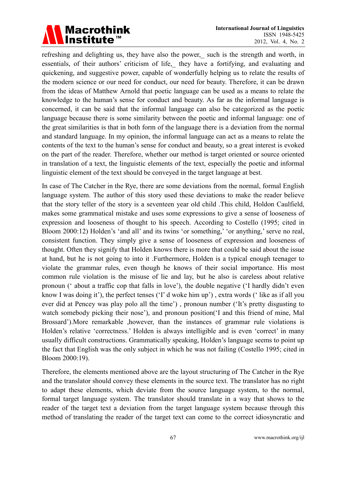# Macrothink<br>|Institute™

refreshing and delighting us, they have also the power, such is the strength and worth, in essentials, of their authors' criticism of life, they have a fortifying, and evaluating and quickening, and suggestive power, capable of wonderfully helping us to relate the results of the modern science or our need for conduct, our need for beauty. Therefore, it can be drawn from the ideas of Matthew Arnold that poetic language can be used as a means to relate the knowledge to the human's sense for conduct and beauty. As far as the informal language is concerned, it can be said that the informal language can also be categorized as the poetic language because there is some similarity between the poetic and informal language: one of the great similarities is that in both form of the language there is a deviation from the normal and standard language. In my opinion, the informal language can act as a means to relate the contents of the text to the human's sense for conduct and beauty, so a great interest is evoked on the part of the reader. Therefore, whether our method is target oriented or source oriented in translation of a text, the linguistic elements of the text, especially the poetic and informal linguistic element of the text should be conveyed in the target language at best.

In case of The Catcher in the Rye, there are some deviations from the normal, formal English language system. The author of this story used these deviations to make the reader believe that the story teller of the story is a seventeen year old child .This child, Holdon Caulfield, makes some grammatical mistake and uses some expressions to give a sense of looseness of expression and looseness of thought to his speech. According to Costello (1995; cited in Bloom 2000:12) Holden's 'and all' and its twins 'or something,' 'or anything,' serve no real, consistent function. They simply give a sense of looseness of expression and looseness of thought. Often they signify that Holden knows there is more that could be said about the issue at hand, but he is not going to into it .Furthermore, Holden is a typical enough teenager to violate the grammar rules, even though he knows of their social importance. His most common rule violation is the misuse of lie and lay, but he also is careless about relative pronoun (' about a traffic cop that falls in love'), the double negative ('I hardly didn't even know I was doing it'), the perfect tenses ('I' d woke him up') , extra words (' like as if all you ever did at Pencey was play polo all the time') , pronoun number ('It's pretty disgusting to watch somebody picking their nose'), and pronoun position('I and this friend of mine, Mal Brossard').More remarkable ,however, than the instances of grammar rule violations is Holden's relative 'correctness.' Holden is always intelligible and is even 'correct' in many usually difficult constructions. Grammatically speaking, Holden's language seems to point up the fact that English was the only subject in which he was not failing (Costello 1995; cited in Bloom 2000:19).

Therefore, the elements mentioned above are the layout structuring of The Catcher in the Rye and the translator should convey these elements in the source text. The translator has no right to adapt these elements, which deviate from the source language system, to the normal, formal target language system. The translator should translate in a way that shows to the reader of the target text a deviation from the target language system because through this method of translating the reader of the target text can come to the correct idiosyncratic and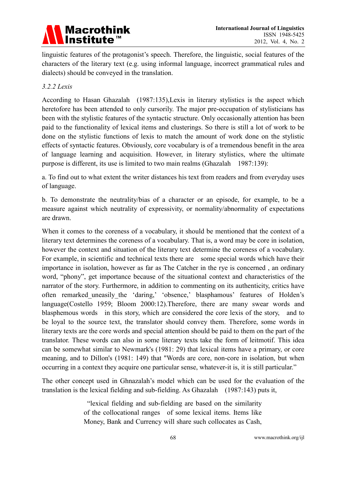### Macrothink<br>|Institute™

linguistic features of the protagonist's speech. Therefore, the linguistic, social features of the characters of the literary text (e.g. using informal language, incorrect grammatical rules and dialects) should be conveyed in the translation.

### *3.2.2 Lexis*

According to Hasan Ghazalah (1987:135),Lexis in literary stylistics is the aspect which heretofore has been attended to only cursorily. The major pre-occupation of stylisticians has been with the stylistic features of the syntactic structure. Only occasionally attention has been paid to the functionality of lexical items and clusterings. So there is still a lot of work to be done on the stylistic functions of lexis to match the amount of work done on the stylistic effects of syntactic features. Obviously, core vocabulary is of a tremendous benefit in the area of language learning and acquisition. However, in literary stylistics, where the ultimate purpose is different, its use is limited to two main realms (Ghazalah 1987:139):

a. To find out to what extent the writer distances his text from readers and from everyday uses of language.

b. To demonstrate the neutrality/bias of a character or an episode, for example, to be a measure against which neutrality of expressivity, or normality/abnormality of expectations are drawn.

When it comes to the coreness of a vocabulary, it should be mentioned that the context of a literary text determines the coreness of a vocabulary. That is, a word may be core in isolation, however the context and situation of the literary text determine the coreness of a vocabulary. For example, in scientific and technical texts there are some special words which have their importance in isolation, however as far as The Catcher in the rye is concerned , an ordinary word, "phony", get importance because of the situational context and characteristics of the narrator of the story. Furthermore, in addition to commenting on its authenticity, critics have often remarked\_uneasily\_the 'daring,' 'obsence,' blasphamous' features of Holden's language(Costello 1959; Bloom 2000:12).Therefore, there are many swear words and blasphemous words in this story, which are considered the core lexis of the story, and to be loyal to the source text, the translator should convey them. Therefore, some words in literary texts are the core words and special attention should be paid to them on the part of the translator. These words can also in some literary texts take the form of leitmotif. This idea can be somewhat similar to Newmark's (1981: 29) that lexical items have a primary, or core meaning, and to Dillon's (1981: 149) that "Words are core, non-core in isolation, but when occurring in a context they acquire one particular sense, whatever-it is, it is still particular."

The other concept used in Ghnazalah's model which can be used for the evaluation of the translation is the lexical fielding and sub-fielding. As Ghazalah (1987:143) puts it,

> "lexical fielding and sub-fielding are based on the similarity of the collocational ranges of some lexical items. Items like Money, Bank and Currency will share such collocates as Cash,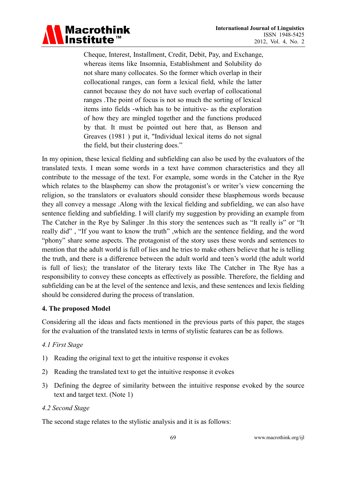

Cheque, Interest, Installment, Credit, Debit, Pay, and Exchange, whereas items like Insomnia, Establishment and Solubility do not share many collocates. So the former which overlap in their collocational ranges, can form a lexical field, while the latter cannot because they do not have such overlap of collocational ranges .The point of focus is not so much the sorting of lexical items into fields -which has to be intuitive- as the exploration of how they are mingled together and the functions produced by that. It must be pointed out here that, as Benson and Greaves (1981 ) put it, "Individual lexical items do not signal the field, but their clustering does."

In my opinion, these lexical fielding and subfielding can also be used by the evaluators of the translated texts. I mean some words in a text have common characteristics and they all contribute to the message of the text. For example, some words in the Catcher in the Rye which relates to the blasphemy can show the protagonist's or writer's view concerning the religion, so the translators or evaluators should consider these blasphemous words because they all convey a message .Along with the lexical fielding and subfielding, we can also have sentence fielding and subfielding. I will clarify my suggestion by providing an example from The Catcher in the Rye by Salinger .In this story the sentences such as "It really is" or "It really did" , "If you want to know the truth" ,which are the sentence fielding, and the word "phony" share some aspects. The protagonist of the story uses these words and sentences to mention that the adult world is full of lies and he tries to make others believe that he is telling the truth, and there is a difference between the adult world and teen's world (the adult world is full of lies); the translator of the literary texts like The Catcher in The Rye has a responsibility to convey these concepts as effectively as possible. Therefore, the fielding and subfielding can be at the level of the sentence and lexis, and these sentences and lexis fielding should be considered during the process of translation.

### **4. The proposed Model**

Considering all the ideas and facts mentioned in the previous parts of this paper, the stages for the evaluation of the translated texts in terms of stylistic features can be as follows.

### *4.1 First Stage*

- 1) Reading the original text to get the intuitive response it evokes
- 2) Reading the translated text to get the intuitive response it evokes
- 3) Defining the degree of similarity between the intuitive response evoked by the source text and target text. (Note 1)

### *4.2 Second Stage*

The second stage relates to the stylistic analysis and it is as follows: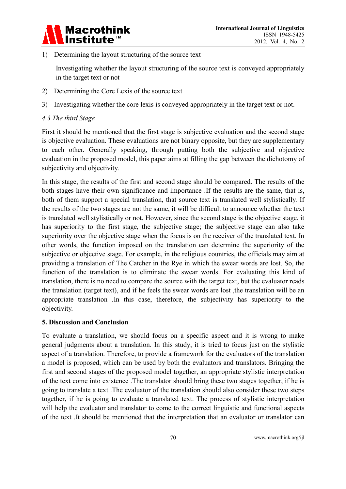

1) Determining the layout structuring of the source text

Investigating whether the layout structuring of the source text is conveyed appropriately in the target text or not

- 2) Determining the Core Lexis of the source text
- 3) Investigating whether the core lexis is conveyed appropriately in the target text or not.

### *4.3 The third Stage*

First it should be mentioned that the first stage is subjective evaluation and the second stage is objective evaluation. These evaluations are not binary opposite, but they are supplementary to each other. Generally speaking, through putting both the subjective and objective evaluation in the proposed model, this paper aims at filling the gap between the dichotomy of subjectivity and objectivity.

In this stage, the results of the first and second stage should be compared. The results of the both stages have their own significance and importance .If the results are the same, that is, both of them support a special translation, that source text is translated well stylistically. If the results of the two stages are not the same, it will be difficult to announce whether the text is translated well stylistically or not. However, since the second stage is the objective stage, it has superiority to the first stage, the subjective stage; the subjective stage can also take superiority over the objective stage when the focus is on the receiver of the translated text. In other words, the function imposed on the translation can determine the superiority of the subjective or objective stage. For example, in the religious countries, the officials may aim at providing a translation of The Catcher in the Rye in which the swear words are lost. So, the function of the translation is to eliminate the swear words. For evaluating this kind of translation, there is no need to compare the source with the target text, but the evaluator reads the translation (target text), and if he feels the swear words are lost ,the translation will be an appropriate translation .In this case, therefore, the subjectivity has superiority to the objectivity.

### **5. Discussion and Conclusion**

To evaluate a translation, we should focus on a specific aspect and it is wrong to make general judgments about a translation. In this study, it is tried to focus just on the stylistic aspect of a translation. Therefore, to provide a framework for the evaluators of the translation a model is proposed, which can be used by both the evaluators and translators. Bringing the first and second stages of the proposed model together, an appropriate stylistic interpretation of the text come into existence .The translator should bring these two stages together, if he is going to translate a text .The evaluator of the translation should also consider these two steps together, if he is going to evaluate a translated text. The process of stylistic interpretation will help the evaluator and translator to come to the correct linguistic and functional aspects of the text .It should be mentioned that the interpretation that an evaluator or translator can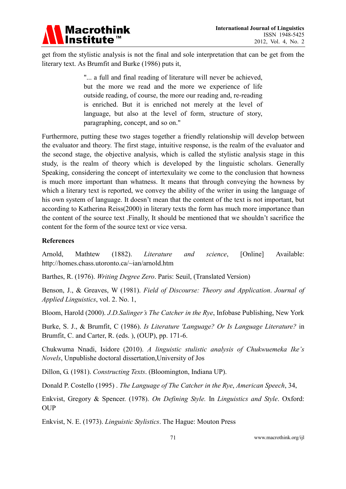

get from the stylistic analysis is not the final and sole interpretation that can be get from the literary text. As Brumfit and Burke (1986) puts it,

> "... a full and final reading of literature will never be achieved, but the more we read and the more we experience of life outside reading, of course, the more our reading and, re-reading is enriched. But it is enriched not merely at the level of language, but also at the level of form, structure of story, paragraphing, concept, and so on."

Furthermore, putting these two stages together a friendly relationship will develop between the evaluator and theory. The first stage, intuitive response, is the realm of the evaluator and the second stage, the objective analysis, which is called the stylistic analysis stage in this study, is the realm of theory which is developed by the linguistic scholars. Generally Speaking, considering the concept of intertexulaity we come to the conclusion that howness is much more important than whatness. It means that through conveying the howness by which a literary text is reported, we convey the ability of the writer in using the language of his own system of language. It doesn't mean that the content of the text is not important, but according to Katherina Reiss(2000) in literary texts the form has much more importance than the content of the source text .Finally, It should be mentioned that we shouldn't sacrifice the content for the form of the source text or vice versa.

### **References**

Arnold, Mathtew (1882). *Literature and science*, [Online] Available: http://homes.chass.utoronto.ca/~ian/arnold.htm

Barthes, R. (1976). *Writing Degree Zero*. Paris: Seuil, (Translated Version)

Benson, J., & Greaves, W (1981). *Field of Discourse: Theory and Application*. *Journal of Applied Linguistics*, vol. 2. No. 1,

Bloom, Harold (2000). *J.D.Salinger's The Catcher in the Rye*, Infobase Publishing, New York

Burke, S. J., & Brumfit, C (1986). *Is Literature 'Language? Or Is Language Literature?* in Brumfit, C. and Carter, R. (eds. ), (OUP), pp. 171-6.

Chukwuma Nnadi, Isidore (2010). *A linguistic stulistic analysis of Chukwuemeka Ike's Novels*, Unpublishe doctoral dissertation,University of Jos

Dillon, G. (1981). *Constructing Texts*. (Bloomington, Indiana UP).

Donald P. Costello (1995) . *The Language of The Catcher in the Rye*, *American Speech*, 34,

Enkvist, Gregory & Spencer. (1978). *On Defining Style.* In *Linguistics and Style*. Oxford: **OUP** 

Enkvist, N. E. (1973). *Linguistic Stylistics*. The Hague: Mouton Press